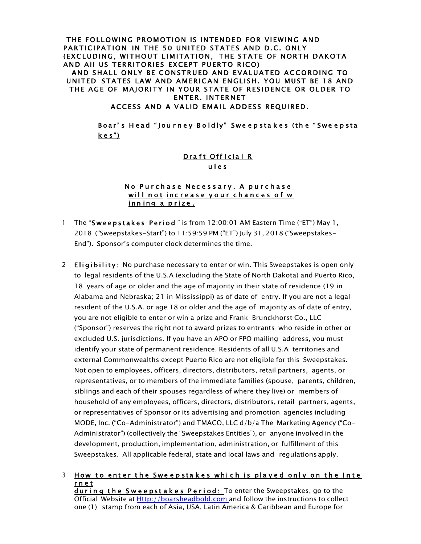### THE FOLLOWING PROMOTION IS INTENDED FOR VIEWING AND PARTICIPATION IN THE 50 UNITED STATES AND D.C. ONLY (EXCLUDING, WITHOUT LIMITATION, THE STATE OF NORTH DAKOTA AND All US TERRITORIES EXCEPT PUERTO RICO)

AND SHALL ONLY BE CONSTRUED AND EVALUATED ACCORDING TO UNITED STATES LAW AND AMERICAN ENGLISH. YOU MUST BE 18 AND THE AGE OF MAJORITY IN YOUR STATE OF RESIDENCE OR OLDER TO ENTER. INTERNET

ACCESS AND A VALID EMAIL ADDESS REQUIRED.

### Boar's Head "Journey Boldly" Sweepstakes (the "Sweepsta k e s")

### Draft Official R u l e s

### No Purchase Necessary. A purchase will not increase your chances of w inning a prize.

- 1 The "Sweepstakes Period " is from 12:00:01 AM Eastern Time ("ET") May 1, 2018 ("Sweepstakes-Start") to 11:59:59 PM ("ET") July 31, 2018 ("Sweepstakes-End"). Sponsor's computer clock determines the time.
- 2 Eligibility: No purchase necessary to enter or win. This Sweepstakes is open only to legal residents of the U.S.A (excluding the State of North Dakota) and Puerto Rico, 18 years of age or older and the age of majority in their state of residence (19 in Alabama and Nebraska; 21 in Mississippi) as of date of entry. If you are not a legal resident of the U.S.A. or age 18 or older and the age of majority as of date of entry, you are not eligible to enter or win a prize and Frank Brunckhorst Co., LLC ("Sponsor") reserves the right not to award prizes to entrants who reside in other or excluded U.S. jurisdictions. If you have an APO or FPO mailing address, you must identify your state of permanent residence. Residents of all U.S.A territories and external Commonwealths except Puerto Rico are not eligible for this Sweepstakes. Not open to employees, officers, directors, distributors, retail partners, agents, or representatives, or to members of the immediate families (spouse, parents, children, siblings and each of their spouses regardless of where they live) or members of household of any employees, officers, directors, distributors, retail partners, agents, or representatives of Sponsor or its advertising and promotion agencies including MODE, Inc. ("Co-Administrator") and TMACO, LLC d/b/a The Marketing Agency ("Co-Administrator") (collectively the "Sweepstakes Entities"), or anyone involved in the development, production, implementation, administration, or fulfillment of this Sweepstakes. All applicable federal, state and local laws and regulations apply.

#### 3 How to enter the Sweepstakes which is played only on the Inte r n e t during the Sweepstakes Period: To enter the Sweepstakes, go to the Official Website at Http://boarsheadbold.com and follow the instructions to collect one (1) stamp from each of Asia, USA, Latin America & Caribbean and Europe for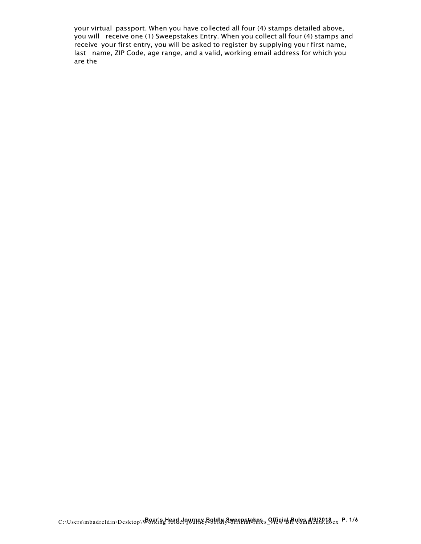your virtual passport. When you have collected all four (4) stamps detailed above, you will receive one (1) Sweepstakes Entry. When you collect all four (4) stamps and receive your first entry, you will be asked to register by supplying your first name, last name, ZIP Code, age range, and a valid, working email address for which you are the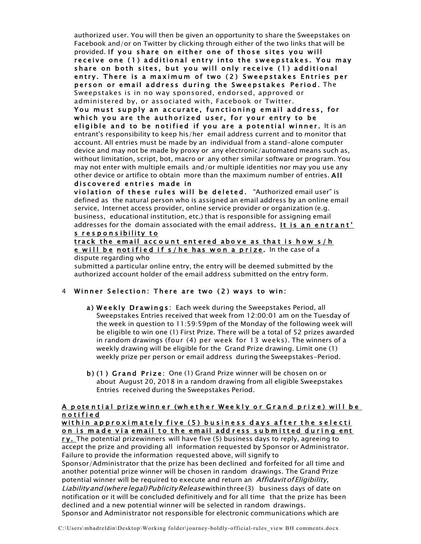authorized user. You will then be given an opportunity to share the Sweepstakes on Facebook and/or on Twitter by clicking through either of the two links that will be provided. If you share on either one of those sites you will receive one (1) additional entry into the sweepstakes. You may share on both sites, but you will only receive (1) additional entry. There is a maximum of two ( 2 ) Sweepstakes Entries per person or email address during the Sweepstakes Period. The Sweepstakes is in no way sponsored, endorsed, approved or administered by, or associated with, Facebook or Twitter.

You must supply an accurate, functioning email address, for which you are the authorized user, for your entry to be eligible and to be notified if you are a potential winner. It is an entrant's responsibility to keep his/her email address current and to monitor that account. All entries must be made by an individual from a stand-alone computer device and may not be made by proxy or any electronic/automated means such as, without limitation, script, bot, macro or any other similar software or program. You may not enter with multiple emails and/or multiple identities nor may you use any other device or artifice to obtain more than the maximum number of entries. All discovered entries made in

violation of these rules will be deleted. "Authorized email user" is defined as the natural person who is assigned an email address by an online email service, Internet access provider, online service provider or organization (e.g. business, educational institution, etc.) that is responsible for assigning email addresses for the domain associated with the email address. It is an entrant'

# s responsibility to track the email account entered above as that is how s/h

e will be notified if s/he has won a prize. In the case of a dispute regarding who

submitted a particular online entry, the entry will be deemed submitted by the authorized account holder of the email address submitted on the entry form.

# 4 Winner Selection: There are two (2) ways to win:

- a ) Weekly Drawings: Each week during the Sweepstakes Period, all Sweepstakes Entries received that week from 12:00:01 am on the Tuesday of the week in question to 11:59:59pm of the Monday of the following week will be eligible to win one (1) First Prize. There will be a total of 52 prizes awarded in random drawings (four (4) per week for 13 weeks). The winners of a weekly drawing will be eligible for the Grand Prize drawing. Limit one (1) weekly prize per person or email address during the Sweepstakes-Period.
- b ) (1 ) Grand Prize: One (1) Grand Prize winner will be chosen on or about August 20, 2018 in a random drawing from all eligible Sweepstakes Entries received during the Sweepstakes Period.

# A potential prizewinner (whether Weekly or Grand prize) will be n o t i f i e d

within approximately five (5) business days after the selecti on is made via email to the email address submitted during ent

ry. The potential prizewinners will have five (5) business days to reply, agreeing to accept the prize and providing all information requested by Sponsor or Administrator. Failure to provide the information requested above, will signify to Sponsor/Administrator that the prize has been declined and forfeited for all time and another potential prize winner will be chosen in random drawings. The Grand Prize

potential winner will be required to execute and return an Affidavit of Eligibility, Liability and (where legal) Publicity Release within three (3) business days of date on notification or it will be concluded definitively and for all time that the prize has been declined and a new potential winner will be selected in random drawings. Sponsor and Administrator not responsible for electronic communications which are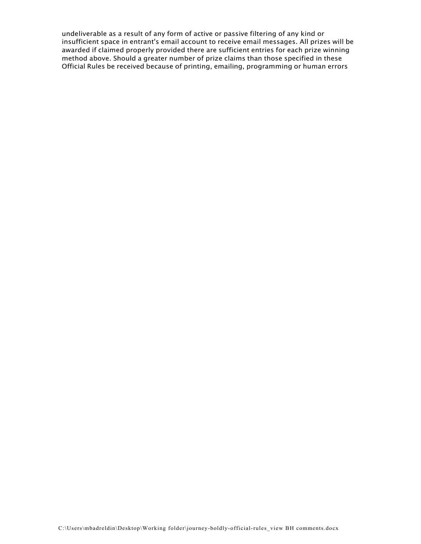undeliverable as a result of any form of active or passive filtering of any kind or insufficient space in entrant's email account to receive email messages. All prizes will be awarded if claimed properly provided there are sufficient entries for each prize winning method above. Should a greater number of prize claims than those specified in these Official Rules be received because of printing, emailing, programming or human errors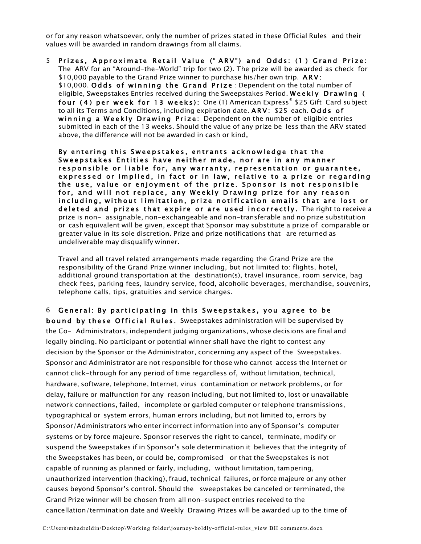or for any reason whatsoever, only the number of prizes stated in these Official Rules and their values will be awarded in random drawings from all claims.

5 Prizes, Approximate Retail Value (" ARV") and Odds: (1 ) Grand Prize: The ARV for an "Around-the-World" trip for two (2). The prize will be awarded as check for \$10,000 payable to the Grand Prize winner to purchase his/her own trip. ARV: \$10,000. Odds of winning the Grand Prize : Dependent on the total number of eligible, Sweepstakes Entries received during the Sweepstakes Period. Weekly Drawing ( four (4) per week for 13 weeks): One (1) American Express® \$25 Gift Card subject to all its Terms and Conditions, including expiration date. ARV: \$25 each. Odds of winning a Weekly Drawing Prize: Dependent on the number of eligible entries submitted in each of the 13 weeks. Should the value of any prize be less than the ARV stated above, the difference will not be awarded in cash or kind.

By entering this Sweepstakes, entrants acknowledge that the Sweepstakes Entities have neither made, nor are in any manner responsible or liable for, any warranty, representation or quarantee, expressed or implied, in fact or in law, relative to a prize or regarding the use, value or enjoyment of the prize. Sponsor is not responsible for, and will not replace, any Weekly Drawing prize for any reason including, without limitation, prize notification emails that are lost or deleted and prizes that expire or are used incorrectly. The right to receive a prize is non- assignable, non-exchangeable and non-transferable and no prize substitution or cash equivalent will be given, except that Sponsor may substitute a prize of comparable or greater value in its sole discretion. Prize and prize notifications that are returned as undeliverable may disqualify winner.

Travel and all travel related arrangements made regarding the Grand Prize are the responsibility of the Grand Prize winner including, but not limited to: flights, hotel, additional ground transportation at the destination(s), travel insurance, room service, bag check fees, parking fees, laundry service, food, alcoholic beverages, merchandise, souvenirs, telephone calls, tips, gratuities and service charges.

6 General: By participating in this Sweepstakes, you agree to be bound by these Official Rules. Sweepstakes administration will be supervised by the Co- Administrators, independent judging organizations, whose decisions are final and legally binding. No participant or potential winner shall have the right to contest any decision by the Sponsor or the Administrator, concerning any aspect of the Sweepstakes. Sponsor and Administrator are not responsible for those who cannot access the Internet or cannot click-through for any period of time regardless of, without limitation, technical, hardware, software, telephone, Internet, virus contamination or network problems, or for delay, failure or malfunction for any reason including, but not limited to, lost or unavailable network connections, failed, incomplete or garbled computer or telephone transmissions, typographical or system errors, human errors including, but not limited to, errors by Sponsor/Administrators who enter incorrect information into any of Sponsor's computer systems or by force majeure. Sponsor reserves the right to cancel, terminate, modify or suspend the Sweepstakes if in Sponsor's sole determination it believes that the integrity of the Sweepstakes has been, or could be, compromised or that the Sweepstakes is not capable of running as planned or fairly, including, without limitation, tampering, unauthorized intervention (hacking), fraud, technical failures, or force majeure or any other causes beyond Sponsor's control. Should the sweepstakes be canceled or terminated, the Grand Prize winner will be chosen from all non-suspect entries received to the cancellation/termination date and Weekly Drawing Prizes will be awarded up to the time of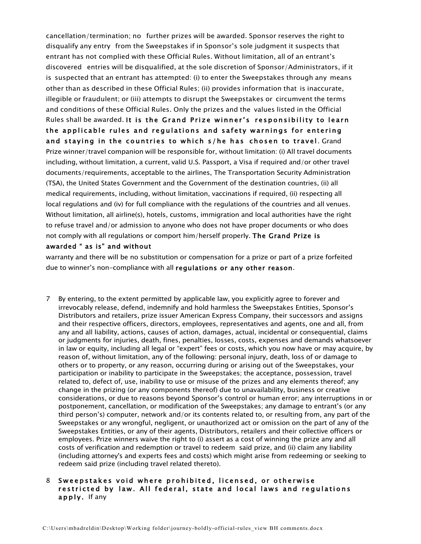cancellation/termination; no further prizes will be awarded. Sponsor reserves the right to disqualify any entry from the Sweepstakes if in Sponsor's sole judgment it suspects that entrant has not complied with these Official Rules. Without limitation, all of an entrant's discovered entries will be disqualified, at the sole discretion of Sponsor/Administrators, if it is suspected that an entrant has attempted: (i) to enter the Sweepstakes through any means other than as described in these Official Rules; (ii) provides information that is inaccurate, illegible or fraudulent; or (iii) attempts to disrupt the Sweepstakes or circumvent the terms and conditions of these Official Rules. Only the prizes and the values listed in the Official Rules shall be awarded. It is the Grand Prize winner's responsibility to learn the applicable rules and regulations and safety warnings for entering and staying in the countries to which s/he has chosen to travel. Grand Prize winner/travel companion will be responsible for, without limitation: (i) All travel documents including, without limitation, a current, valid U.S. Passport, a Visa if required and/or other travel documents/requirements, acceptable to the airlines, The Transportation Security Administration (TSA), the United States Government and the Government of the destination countries, (ii) all medical requirements, including, without limitation, vaccinations if required, (ii) respecting all local regulations and (iv) for full compliance with the regulations of the countries and all venues. Without limitation, all airline(s), hotels, customs, immigration and local authorities have the right to refuse travel and/or admission to anyone who does not have proper documents or who does not comply with all regulations or comport him/herself properly. The Grand Prize is

### awarded " as is" and without

warranty and there will be no substitution or compensation for a prize or part of a prize forfeited due to winner's non-compliance with all regulations or any other reason.

7 By entering, to the extent permitted by applicable law, you explicitly agree to forever and irrevocably release, defend, indemnify and hold harmless the Sweepstakes Entities, Sponsor's Distributors and retailers, prize issuer American Express Company, their successors and assigns and their respective officers, directors, employees, representatives and agents, one and all, from any and all liability, actions, causes of action, damages, actual, incidental or consequential, claims or judgments for injuries, death, fines, penalties, losses, costs, expenses and demands whatsoever in law or equity, including all legal or "expert" fees or costs, which you now have or may acquire, by reason of, without limitation, any of the following: personal injury, death, loss of or damage to others or to property, or any reason, occurring during or arising out of the Sweepstakes, your participation or inability to participate in the Sweepstakes; the acceptance, possession, travel related to, defect of, use, inability to use or misuse of the prizes and any elements thereof; any change in the prizing (or any components thereof) due to unavailability, business or creative considerations, or due to reasons beyond Sponsor's control or human error; any interruptions in or postponement, cancellation, or modification of the Sweepstakes; any damage to entrant's (or any third person's) computer, network and/or its contents related to, or resulting from, any part of the Sweepstakes or any wrongful, negligent, or unauthorized act or omission on the part of any of the Sweepstakes Entities, or any of their agents, Distributors, retailers and their collective officers or employees. Prize winners waive the right to (i) assert as a cost of winning the prize any and all costs of verification and redemption or travel to redeem said prize, and (ii) claim any liability (including attorney's and experts fees and costs) which might arise from redeeming or seeking to redeem said prize (including travel related thereto).

### 8 Sweepstakes void where prohibited, licensed, or otherwise restricted by law. All federal, state and local laws and regulations apply. If any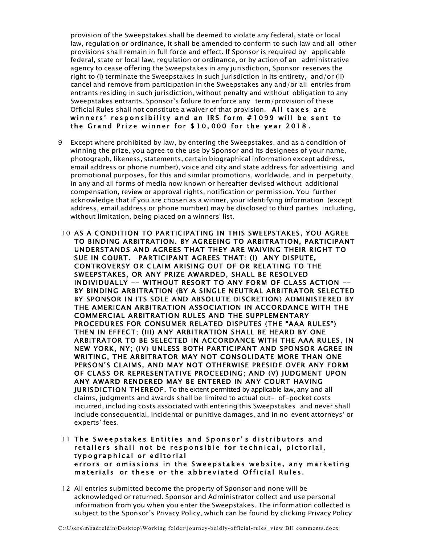provision of the Sweepstakes shall be deemed to violate any federal, state or local law, regulation or ordinance, it shall be amended to conform to such law and all other provisions shall remain in full force and effect. If Sponsor is required by applicable federal, state or local law, regulation or ordinance, or by action of an administrative agency to cease offering the Sweepstakes in any jurisdiction, Sponsor reserves the right to (i) terminate the Sweepstakes in such jurisdiction in its entirety, and/or (ii) cancel and remove from participation in the Sweepstakes any and/or all entries from entrants residing in such jurisdiction, without penalty and without obligation to any Sweepstakes entrants. Sponsor's failure to enforce any term/provision of these Official Rules shall not constitute a waiver of that provision. All taxes are winners' responsibility and an IRS form # 1099 will be sent to the Grand Prize winner for \$ 10, 000 for the year 2018 .

- 9 Except where prohibited by law, by entering the Sweepstakes, and as a condition of winning the prize, you agree to the use by Sponsor and its designees of your name, photograph, likeness, statements, certain biographical information except address, email address or phone number), voice and city and state address for advertising and promotional purposes, for this and similar promotions, worldwide, and in perpetuity, in any and all forms of media now known or hereafter devised without additional compensation, review or approval rights, notification or permission. You further acknowledge that if you are chosen as a winner, your identifying information (except address, email address or phone number) may be disclosed to third parties including, without limitation, being placed on a winners' list.
- 10 AS A CONDITION TO PARTICIPATING IN THIS SWEEPSTAKES, YOU AGREE TO BINDING ARBITRATION. BY AGREEING TO ARBITRATION, PARTICIPANT UNDERSTANDS AND AGREES THAT THEY ARE WAIVING THEIR RIGHT TO SUE IN COURT. PARTICIPANT AGREES THAT: (I) ANY DISPUTE, CONTROVERSY OR CLAIM ARISING OUT OF OR RELATING TO THE SWEEPSTAKES, OR ANY PRIZE AWARDED, SHALL BE RESOLVED INDIVIDUALLY -- WITHOUT RESORT TO ANY FORM OF CLASS ACTION -- BY BINDING ARBITRATION (BY A SINGLE NEUTRAL ARBITRATOR SELECTED BY SPONSOR IN ITS SOLE AND ABSOLUTE DISCRETION) ADMINISTERED BY THE AMERICAN ARBITRATION ASSOCIATION IN ACCORDANCE WITH THE COMMERCIAL ARBITRATION RULES AND THE SUPPLEMENTARY PROCEDURES FOR CONSUMER RELATED DISPUTES (THE "AAA RULES") THEN IN EFFECT; (III) ANY ARBITRATION SHALL BE HEARD BY ONE ARBITRATOR TO BE SELECTED IN ACCORDANCE WITH THE AAA RULES, IN NEW YORK, NY; (IV) UNLESS BOTH PARTICIPANT AND SPONSOR AGREE IN WRITING, THE ARBITRATOR MAY NOT CONSOLIDATE MORE THAN ONE PERSON'S CLAIMS, AND MAY NOT OTHERWISE PRESIDE OVER ANY FORM OF CLASS OR REPRESENTATIVE PROCEEDING; AND (V) JUDGMENT UPON ANY AWARD RENDERED MAY BE ENTERED IN ANY COURT HAVING JURISDICTION THEREOF. To the extent permitted by applicable law, any and all claims, judgments and awards shall be limited to actual out- of-pocket costs incurred, including costs associated with entering this Sweepstakes and never shall include consequential, incidental or punitive damages, and in no event attorneys' or experts' fees.
- 11 The Sweepstakes Entities and Sponsor' s distributors and retailers shall not be responsible for technical, pictorial, typographical or editorial errors or omissions in the Sweepstakes website, any marketing materials or these or the abbreviated Official Rules.
- 12 All entries submitted become the property of Sponsor and none will be acknowledged or returned. Sponsor and Administrator collect and use personal information from you when you enter the Sweepstakes. The information collected is subject to the Sponsor's Privacy Policy, which can be found by clicking Privacy Policy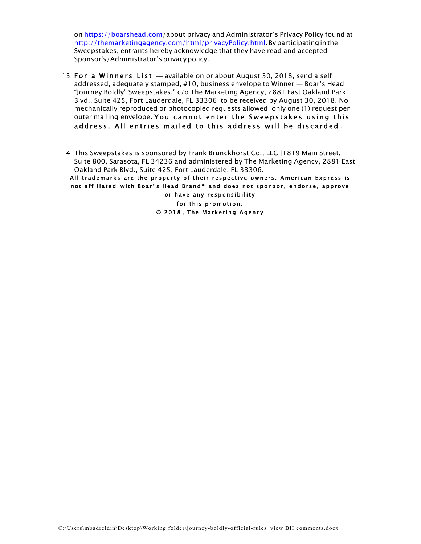on https://boarshead.com/about privacy and Administrator's Privacy Policy found at http://themarketingagency.com/html/privacyPolicy.html. Byparticipatingin the Sweepstakes, entrants hereby acknowledge that they have read and accepted Sponsor's/Administrator's privacy policy.

- 13 For a Winners List available on or about August 30, 2018, send a self addressed, adequately stamped, #10, business envelope to Winner — Boar's Head "Journey Boldly" Sweepstakes," c/o The Marketing Agency, 2881 East Oakland Park Blvd., Suite 425, Fort Lauderdale, FL 33306 to be received by August 30, 2018. No mechanically reproduced or photocopied requests allowed; only one (1) request per outer mailing envelope. You cannot enter the Sweepstakes using this address. All entries mailed to this address will be discarded .
- 14 This Sweepstakes is sponsored by Frank Brunckhorst Co., LLC |1819 Main Street, Suite 800, Sarasota, FL 34236 and administered by The Marketing Agency, 2881 East Oakland Park Blvd., Suite 425, Fort Lauderdale, FL 33306.

All trademarks are the property of their respective owners. American Express is not affiliated with Boar's Head Brand® and does not sponsor, endorse, approve or have any responsibility for this promotion. © 2018 , The Marketing Agency